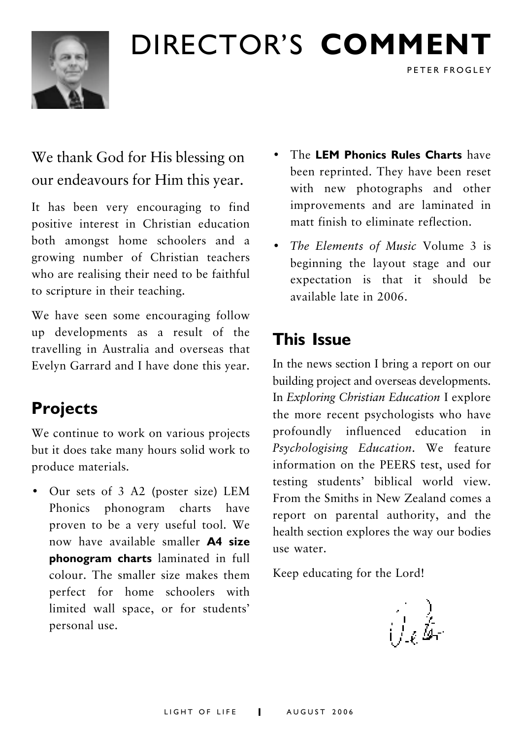

## DIRECTOR'S **COMMENT**

## We thank God for His blessing on our endeavours for Him this year.

It has been very encouraging to find positive interest in Christian education both amongst home schoolers and a growing number of Christian teachers who are realising their need to be faithful to scripture in their teaching.

We have seen some encouraging follow up developments as a result of the travelling in Australia and overseas that Evelyn Garrard and I have done this year.

## **Projects**

We continue to work on various projects but it does take many hours solid work to produce materials.

• Our sets of 3 A2 (poster size) LEM Phonics phonogram charts have proven to be a very useful tool. We now have available smaller **A4 size phonogram charts** laminated in full colour. The smaller size makes them perfect for home schoolers with limited wall space, or for students' personal use.

ï The **LEM Phonics Rules Charts** have been reprinted. They have been reset with new photographs and other improvements and are laminated in matt finish to eliminate reflection.

PETER FROGLEY

• *The Elements of Music Volume 3 is* beginning the layout stage and our expectation is that it should be available late in 2006.

## **This Issue**

In the news section I bring a report on our building project and overseas developments. In *Exploring Christian Education* I explore the more recent psychologists who have profoundly influenced education in *Psychologising Education*. We feature information on the PEERS test, used for testing students' biblical world view. From the Smiths in New Zealand comes a report on parental authority, and the health section explores the way our bodies use water.

Keep educating for the Lord!

i I. k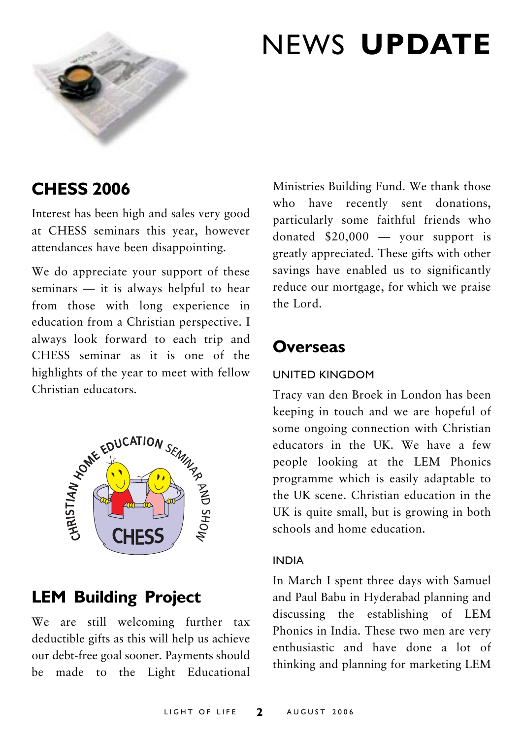

## NEWS **UPDATE**

### **CHESS 2006**

Interest has been high and sales very good at CHESS seminars this year, however attendances have been disappointing.

We do appreciate your support of these seminars  $-$  it is always helpful to hear from those with long experience in education from a Christian perspective. I always look forward to each trip and CHESS seminar as it is one of the highlights of the year to meet with fellow



## **LEM Building Project**

We are still welcoming further tax deductible gifts as this will help us achieve our debt-free goal sooner. Payments should be made to the Light Educational Ministries Building Fund. We thank those who have recently sent donations, particularly some faithful friends who donated  $$20,000 -$  your support is greatly appreciated. These gifts with other savings have enabled us to significantly reduce our mortgage, for which we praise the Lord.

### **Overseas**

#### UNITED KINGDOM

Tracy van den Broek in London has been keeping in touch and we are hopeful of some ongoing connection with Christian educators in the UK. We have a few people looking at the LEM Phonics programme which is easily adaptable to the UK scene. Christian education in the UK is quite small, but is growing in both schools and home education.

#### INDIA

In March I spent three days with Samuel and Paul Babu in Hyderabad planning and discussing the establishing of LEM Phonics in India. These two men are very enthusiastic and have done a lot of thinking and planning for marketing LEM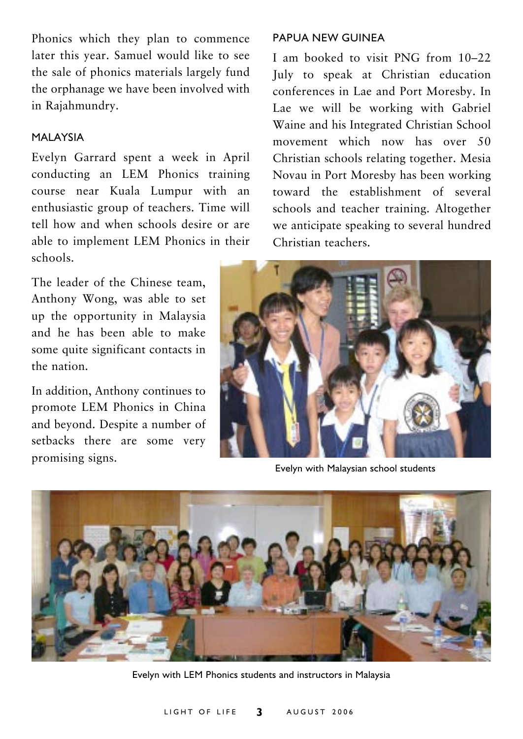Phonics which they plan to commence later this year. Samuel would like to see the sale of phonics materials largely fund the orphanage we have been involved with in Rajahmundry.

#### MALAYSIA

Evelyn Garrard spent a week in April conducting an LEM Phonics training course near Kuala Lumpur with an enthusiastic group of teachers. Time will tell how and when schools desire or are able to implement LEM Phonics in their schools.

The leader of the Chinese team, Anthony Wong, was able to set up the opportunity in Malaysia and he has been able to make some quite significant contacts in the nation.

In addition, Anthony continues to promote LEM Phonics in China and beyond. Despite a number of setbacks there are some very promising signs.

#### PAPUA NEW GUINEA

I am booked to visit PNG from  $10-22$ July to speak at Christian education conferences in Lae and Port Moresby. In Lae we will be working with Gabriel Waine and his Integrated Christian School movement which now has over 50 Christian schools relating together. Mesia Novau in Port Moresby has been working toward the establishment of several schools and teacher training. Altogether we anticipate speaking to several hundred Christian teachers.



Evelyn with Malaysian school students



Evelyn with LEM Phonics students and instructors in Malaysia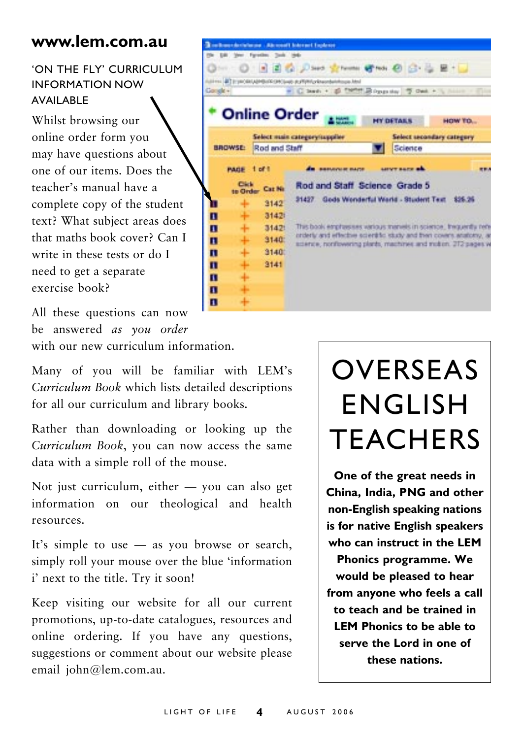### **www.lem.com.au**

### **ON THE FLY' CURRICULUM** INFORMATION NOW AVAILABLE

Whilst browsing our online order form you may have questions about one of our items. Does the teacherís manual have a complete copy of the student text? What subject areas does that maths book cover? Can I write in these tests or do I need to get a separate exercise book?

All these questions can now be answered *as you order* with our new curriculum information.

Many of you will be familiar with LEM's *Curriculum Book* which lists detailed descriptions for all our curriculum and library books.

Rather than downloading or looking up the *Curriculum Book*, you can now access the same data with a simple roll of the mouse.

Not just curriculum, either  $-$  you can also get information on our theological and health resources.

It's simple to use  $-$  as you browse or search, simply roll your mouse over the blue 'information i' next to the title. Try it soon!

Keep visiting our website for all our current promotions, up-to-date catalogues, resources and online ordering. If you have any questions, suggestions or comment about our website please email john@lem.com.au.

|          |                                 | <b>Realisant Incident (Marcoult Internet Inplanet</b>                     |                                                                                                                                      |                                       |  |                     |                                                                  |  |
|----------|---------------------------------|---------------------------------------------------------------------------|--------------------------------------------------------------------------------------------------------------------------------------|---------------------------------------|--|---------------------|------------------------------------------------------------------|--|
|          |                                 | (the Edit Vans Faranthus, Tools 1940-                                     |                                                                                                                                      |                                       |  |                     |                                                                  |  |
|          |                                 |                                                                           |                                                                                                                                      | ◎※ ◎ 日日 2 2340 greens great @ G - 2 H |  |                     |                                                                  |  |
|          |                                 | Address 47 Erymodel Admibilities (exclusive as PVHHz shows behavious Abs) |                                                                                                                                      |                                       |  |                     |                                                                  |  |
| Google + |                                 |                                                                           |                                                                                                                                      |                                       |  |                     | " C lead + @ TMTH Boggaday 7 Oak + % hims - (The                 |  |
|          |                                 | <b>Online Order</b>                                                       |                                                                                                                                      |                                       |  | <b>MY DETAILS</b>   | HOW TO                                                           |  |
|          |                                 | Select main category/supplier                                             |                                                                                                                                      |                                       |  |                     | Select secondary category                                        |  |
|          | <b>BROWSE:</b><br>Rod and Staff |                                                                           |                                                                                                                                      |                                       |  | Science             |                                                                  |  |
|          | PAGE                            | $1$ of $1$                                                                |                                                                                                                                      | <b>BRIDGE RAISE</b>                   |  | <b>LEVT BATE AL</b> |                                                                  |  |
|          | Circle<br>to Order              | Car Ni                                                                    |                                                                                                                                      | Rod and Staff Science Grade 5         |  |                     |                                                                  |  |
|          | ÷                               | 3142                                                                      | Gods Wonderful World - Student Text<br>\$25.26<br>31437                                                                              |                                       |  |                     |                                                                  |  |
| п        | ÷                               | 31421                                                                     |                                                                                                                                      |                                       |  |                     |                                                                  |  |
| П        | ۰                               | 31421                                                                     |                                                                                                                                      |                                       |  |                     | This book emphasises various manuels in science, thequently ren- |  |
| П        | ÷                               | 3140                                                                      | orderly and effective scientific istudy and then covers anatomy, an<br>science, nonfowering plants, machines and motion. 2T2 pages w |                                       |  |                     |                                                                  |  |
| П        | ÷                               | 3140                                                                      |                                                                                                                                      |                                       |  |                     |                                                                  |  |
| п        | ÷                               | 3141                                                                      |                                                                                                                                      |                                       |  |                     |                                                                  |  |
| п        | ÷                               |                                                                           |                                                                                                                                      |                                       |  |                     |                                                                  |  |
| п        | ÷                               |                                                                           |                                                                                                                                      |                                       |  |                     |                                                                  |  |
| п        | ÷                               |                                                                           |                                                                                                                                      |                                       |  |                     |                                                                  |  |

## **OVERSEAS** ENGLISH **TEACHERS**

**One of the great needs in China, India, PNG and other non-English speaking nations is for native English speakers who can instruct in the LEM Phonics programme. We would be pleased to hear from anyone who feels a call to teach and be trained in LEM Phonics to be able to serve the Lord in one of these nations.**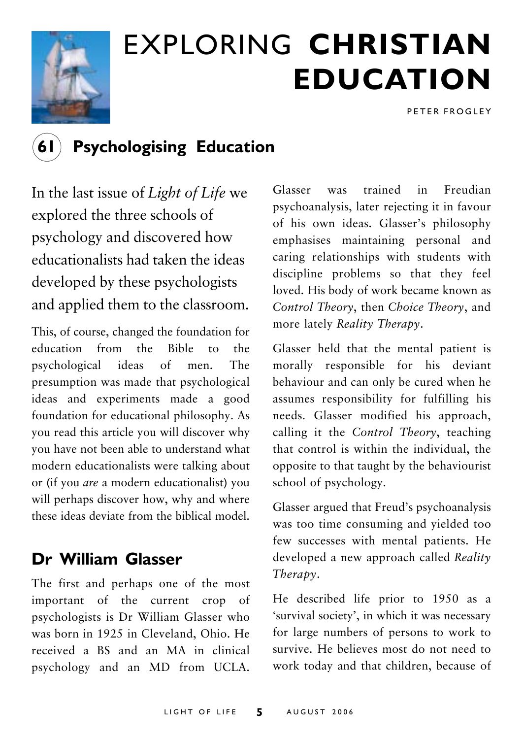

# EXPLORING **CHRISTIAN EDUCATION**

PETER FROGLEY

## **61 Psychologising Education**

In the last issue of *Light of Life* we explored the three schools of psychology and discovered how educationalists had taken the ideas developed by these psychologists and applied them to the classroom.

This, of course, changed the foundation for education from the Bible to the psychological ideas of men. The presumption was made that psychological ideas and experiments made a good foundation for educational philosophy. As you read this article you will discover why you have not been able to understand what modern educationalists were talking about or (if you *are* a modern educationalist) you will perhaps discover how, why and where these ideas deviate from the biblical model.

## **Dr William Glasser**

The first and perhaps one of the most important of the current crop of psychologists is Dr William Glasser who was born in 1925 in Cleveland, Ohio. He received a BS and an MA in clinical psychology and an MD from UCLA.

Glasser was trained in Freudian psychoanalysis, later rejecting it in favour of his own ideas. Glasser's philosophy emphasises maintaining personal and caring relationships with students with discipline problems so that they feel loved. His body of work became known as *Control Theory*, then *Choice Theory*, and more lately *Reality Therapy*.

Glasser held that the mental patient is morally responsible for his deviant behaviour and can only be cured when he assumes responsibility for fulfilling his needs. Glasser modified his approach, calling it the *Control Theory*, teaching that control is within the individual, the opposite to that taught by the behaviourist school of psychology.

Glasser argued that Freud's psychoanalysis was too time consuming and yielded too few successes with mental patients. He developed a new approach called *Reality Therapy*.

He described life prior to 1950 as a 'survival society', in which it was necessary for large numbers of persons to work to survive. He believes most do not need to work today and that children, because of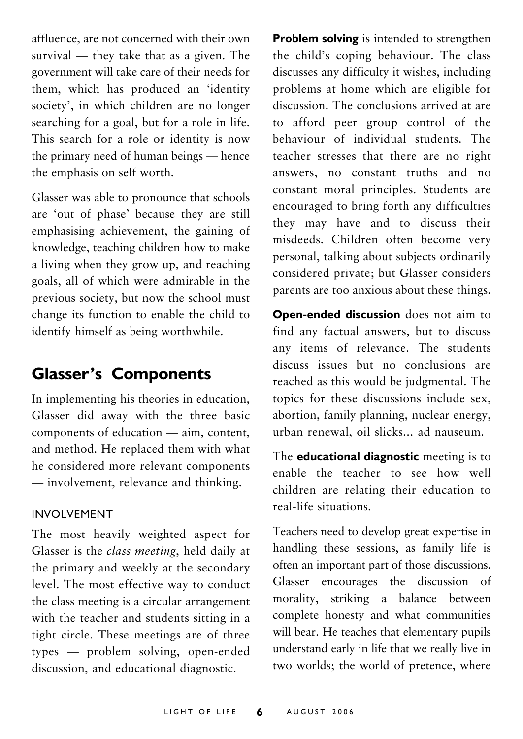affluence, are not concerned with their own survival  $-$  they take that as a given. The government will take care of their needs for them, which has produced an 'identity society', in which children are no longer searching for a goal, but for a role in life. This search for a role or identity is now the primary need of human beings — hence the emphasis on self worth.

Glasser was able to pronounce that schools are 'out of phase' because they are still emphasising achievement, the gaining of knowledge, teaching children how to make a living when they grow up, and reaching goals, all of which were admirable in the previous society, but now the school must change its function to enable the child to identify himself as being worthwhile.

### **Glasser's Components**

In implementing his theories in education, Glasser did away with the three basic components of education  $-$  aim, content, and method. He replaced them with what he considered more relevant components  $-$  involvement, relevance and thinking.

#### INVOLVEMENT

The most heavily weighted aspect for Glasser is the *class meeting*, held daily at the primary and weekly at the secondary level. The most effective way to conduct the class meeting is a circular arrangement with the teacher and students sitting in a tight circle. These meetings are of three types – problem solving, open-ended discussion, and educational diagnostic.

**Problem solving** is intended to strengthen the child's coping behaviour. The class discusses any difficulty it wishes, including problems at home which are eligible for discussion. The conclusions arrived at are to afford peer group control of the behaviour of individual students. The teacher stresses that there are no right answers, no constant truths and no constant moral principles. Students are encouraged to bring forth any difficulties they may have and to discuss their misdeeds. Children often become very personal, talking about subjects ordinarily considered private; but Glasser considers parents are too anxious about these things.

**Open-ended discussion** does not aim to find any factual answers, but to discuss any items of relevance. The students discuss issues but no conclusions are reached as this would be judgmental. The topics for these discussions include sex, abortion, family planning, nuclear energy, urban renewal, oil slicks... ad nauseum.

The **educational diagnostic** meeting is to enable the teacher to see how well children are relating their education to real-life situations.

Teachers need to develop great expertise in handling these sessions, as family life is often an important part of those discussions. Glasser encourages the discussion of morality, striking a balance between complete honesty and what communities will bear. He teaches that elementary pupils understand early in life that we really live in two worlds; the world of pretence, where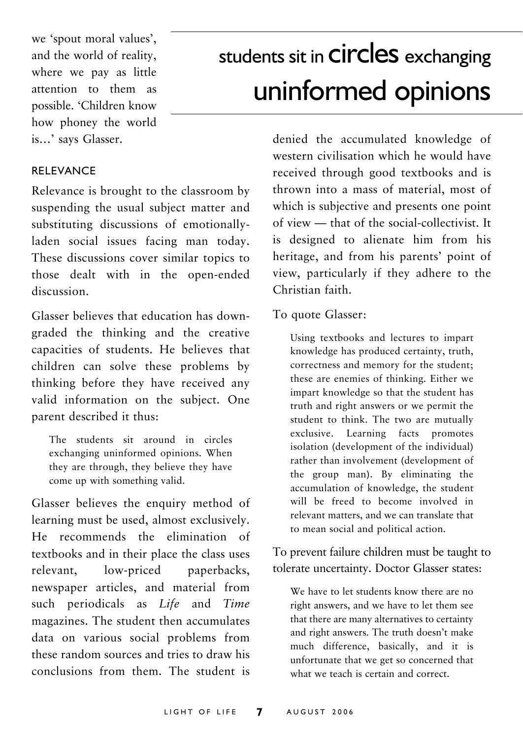we 'spout moral values', and the world of reality, where we pay as little attention to them as possible. ëChildren know how phoney the world is...' says Glasser.

## students sit in **CIrCleS** exchanging uninformed opinions

#### RELEVANCE

Relevance is brought to the classroom by suspending the usual subject matter and substituting discussions of emotionallyladen social issues facing man today. These discussions cover similar topics to those dealt with in the open-ended discussion.

Glasser believes that education has downgraded the thinking and the creative capacities of students. He believes that children can solve these problems by thinking before they have received any valid information on the subject. One parent described it thus:

The students sit around in circles exchanging uninformed opinions. When they are through, they believe they have come up with something valid.

Glasser believes the enquiry method of learning must be used, almost exclusively. He recommends the elimination of textbooks and in their place the class uses relevant, low-priced paperbacks, newspaper articles, and material from such periodicals as *Life* and *Time* magazines. The student then accumulates data on various social problems from these random sources and tries to draw his conclusions from them. The student is

denied the accumulated knowledge of western civilisation which he would have received through good textbooks and is thrown into a mass of material, most of which is subjective and presents one point of view – that of the social-collectivist. It is designed to alienate him from his heritage, and from his parents' point of view, particularly if they adhere to the Christian faith.

#### To quote Glasser:

Using textbooks and lectures to impart knowledge has produced certainty, truth, correctness and memory for the student; these are enemies of thinking. Either we impart knowledge so that the student has truth and right answers or we permit the student to think. The two are mutually exclusive. Learning facts promotes isolation (development of the individual) rather than involvement (development of the group man). By eliminating the accumulation of knowledge, the student will be freed to become involved in relevant matters, and we can translate that to mean social and political action.

To prevent failure children must be taught to tolerate uncertainty. Doctor Glasser states:

We have to let students know there are no right answers, and we have to let them see that there are many alternatives to certainty and right answers. The truth doesn't make much difference, basically, and it is unfortunate that we get so concerned that what we teach is certain and correct.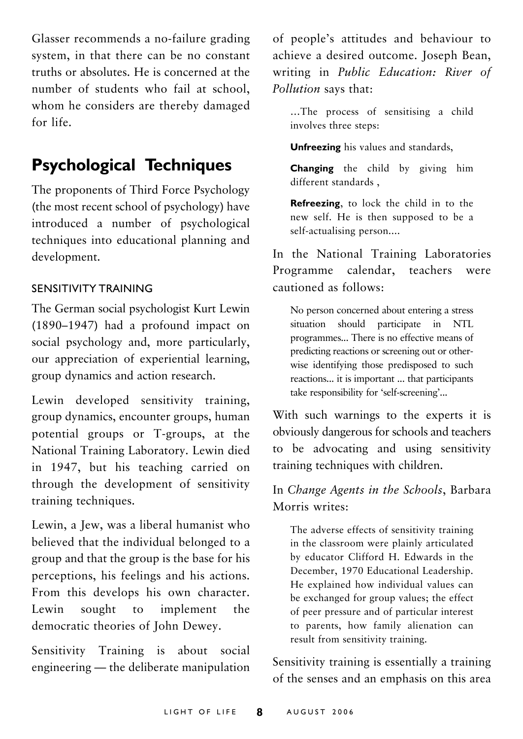Glasser recommends a no-failure grading system, in that there can be no constant truths or absolutes. He is concerned at the number of students who fail at school, whom he considers are thereby damaged for life.

## **Psychological Techniques**

The proponents of Third Force Psychology (the most recent school of psychology) have introduced a number of psychological techniques into educational planning and development.

#### SENSITIVITY TRAINING

The German social psychologist Kurt Lewin  $(1890-1947)$  had a profound impact on social psychology and, more particularly, our appreciation of experiential learning, group dynamics and action research.

Lewin developed sensitivity training, group dynamics, encounter groups, human potential groups or T-groups, at the National Training Laboratory. Lewin died in 1947, but his teaching carried on through the development of sensitivity training techniques.

Lewin, a Jew, was a liberal humanist who believed that the individual belonged to a group and that the group is the base for his perceptions, his feelings and his actions. From this develops his own character. Lewin sought to implement the democratic theories of John Dewey.

Sensitivity Training is about social engineering  $-$  the deliberate manipulation

of people's attitudes and behaviour to achieve a desired outcome. Joseph Bean, writing in *Public Education: River of Pollution* says that:

...The process of sensitising a child involves three steps:

**Unfreezing** his values and standards,

**Changing** the child by giving him different standards ,

**Refreezing**, to lock the child in to the new self. He is then supposed to be a self-actualising person....

In the National Training Laboratories Programme calendar, teachers were cautioned as follows:

No person concerned about entering a stress situation should participate in NTL programmes... There is no effective means of predicting reactions or screening out or otherwise identifying those predisposed to such reactions... it is important ... that participants take responsibility for 'self-screening'...

With such warnings to the experts it is obviously dangerous for schools and teachers to be advocating and using sensitivity training techniques with children.

### In *Change Agents in the Schools*, Barbara Morris writes:

The adverse effects of sensitivity training in the classroom were plainly articulated by educator Clifford H. Edwards in the December, 1970 Educational Leadership. He explained how individual values can be exchanged for group values; the effect of peer pressure and of particular interest to parents, how family alienation can result from sensitivity training.

Sensitivity training is essentially a training of the senses and an emphasis on this area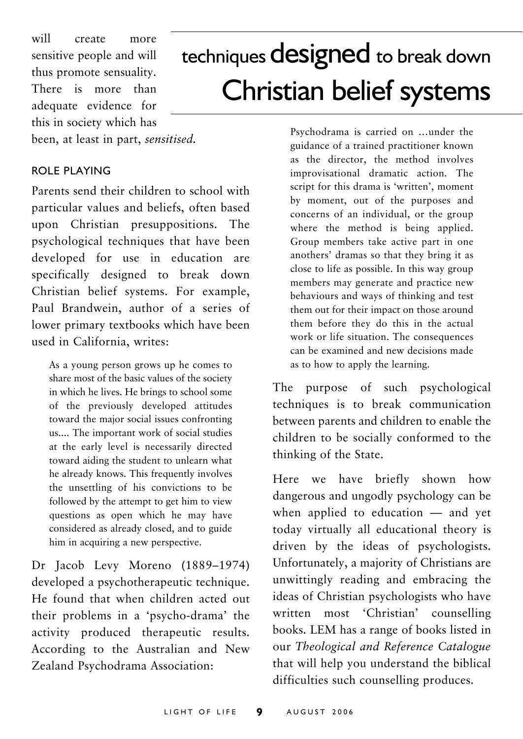will create more sensitive people and will thus promote sensuality. There is more than adequate evidence for this in society which has

## techniques designed to break down Christian belief systems

been, at least in part, *sensitised.*

#### ROLE PLAYING

Parents send their children to school with particular values and beliefs, often based upon Christian presuppositions. The psychological techniques that have been developed for use in education are specifically designed to break down Christian belief systems. For example, Paul Brandwein, author of a series of lower primary textbooks which have been used in California, writes:

As a young person grows up he comes to share most of the basic values of the society in which he lives. He brings to school some of the previously developed attitudes toward the major social issues confronting us.... The important work of social studies at the early level is necessarily directed toward aiding the student to unlearn what he already knows. This frequently involves the unsettling of his convictions to be followed by the attempt to get him to view questions as open which he may have considered as already closed, and to guide him in acquiring a new perspective.

Dr Jacob Levy Moreno (1889-1974) developed a psychotherapeutic technique. He found that when children acted out their problems in a 'psycho-drama' the activity produced therapeutic results. According to the Australian and New Zealand Psychodrama Association:

Psychodrama is carried on ...under the guidance of a trained practitioner known as the director, the method involves improvisational dramatic action. The script for this drama is 'written', moment by moment, out of the purposes and concerns of an individual, or the group where the method is being applied. Group members take active part in one anothers' dramas so that they bring it as close to life as possible. In this way group members may generate and practice new behaviours and ways of thinking and test them out for their impact on those around them before they do this in the actual work or life situation. The consequences can be examined and new decisions made as to how to apply the learning.

The purpose of such psychological techniques is to break communication between parents and children to enable the children to be socially conformed to the thinking of the State.

Here we have briefly shown how dangerous and ungodly psychology can be when applied to education  $-$  and yet today virtually all educational theory is driven by the ideas of psychologists. Unfortunately, a majority of Christians are unwittingly reading and embracing the ideas of Christian psychologists who have written most 'Christian' counselling books. LEM has a range of books listed in our *Theological and Reference Catalogue* that will help you understand the biblical difficulties such counselling produces.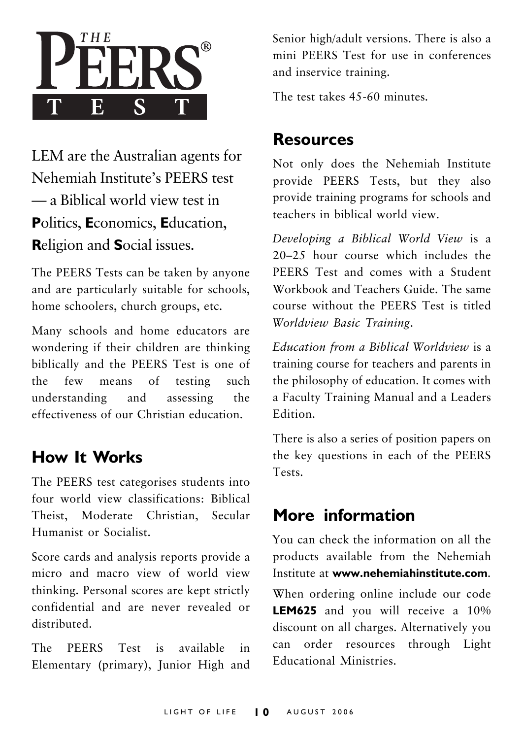

LEM are the Australian agents for Nehemiah Institute's PEERS test  $\equiv$  a Biblical world view test in **P**olitics, **E**conomics, **E**ducation, **R**eligion and **S**ocial issues.

The PEERS Tests can be taken by anyone and are particularly suitable for schools, home schoolers, church groups, etc.

Many schools and home educators are wondering if their children are thinking biblically and the PEERS Test is one of the few means of testing such understanding and assessing the effectiveness of our Christian education.

## **How It Works**

The PEERS test categorises students into four world view classifications: Biblical Theist, Moderate Christian, Secular Humanist or Socialist.

Score cards and analysis reports provide a micro and macro view of world view thinking. Personal scores are kept strictly confidential and are never revealed or distributed.

The PEERS Test is available in Elementary (primary), Junior High and Senior high/adult versions. There is also a mini PEERS Test for use in conferences and inservice training.

The test takes 45-60 minutes.

### **Resources**

Not only does the Nehemiah Institute provide PEERS Tests, but they also provide training programs for schools and teachers in biblical world view.

*Developing a Biblical World View* is a  $20-25$  hour course which includes the PEERS Test and comes with a Student Workbook and Teachers Guide. The same course without the PEERS Test is titled *Worldview Basic Training*.

*Education from a Biblical Worldview* is a training course for teachers and parents in the philosophy of education. It comes with a Faculty Training Manual and a Leaders Edition.

There is also a series of position papers on the key questions in each of the PEERS Tests.

## **More information**

You can check the information on all the products available from the Nehemiah Institute at **www.nehemiahinstitute.com**. When ordering online include our code **LEM625** and you will receive a 10% discount on all charges. Alternatively you can order resources through Light Educational Ministries.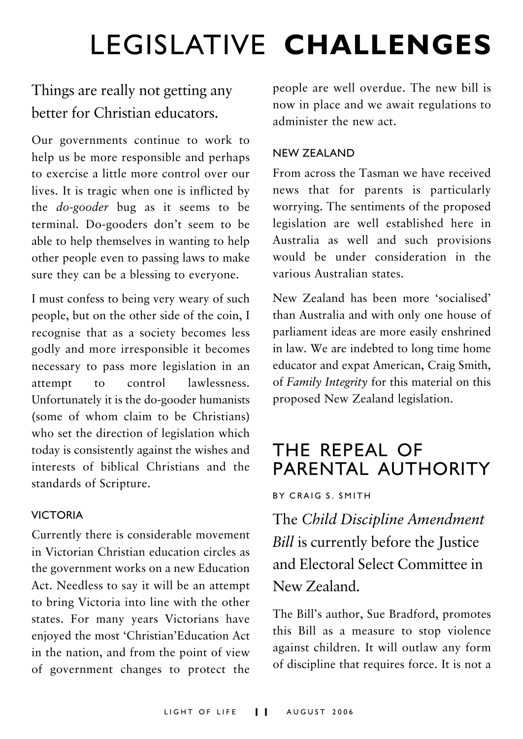## LEGISLATIVE **CHALLENGES**

## Things are really not getting any better for Christian educators.

Our governments continue to work to help us be more responsible and perhaps to exercise a little more control over our lives. It is tragic when one is inflicted by the *do-gooder* bug as it seems to be terminal. Do-gooders don't seem to be able to help themselves in wanting to help other people even to passing laws to make sure they can be a blessing to everyone.

I must confess to being very weary of such people, but on the other side of the coin, I recognise that as a society becomes less godly and more irresponsible it becomes necessary to pass more legislation in an attempt to control lawlessness. Unfortunately it is the do-gooder humanists (some of whom claim to be Christians) who set the direction of legislation which today is consistently against the wishes and interests of biblical Christians and the standards of Scripture.

#### VICTORIA

Currently there is considerable movement in Victorian Christian education circles as the government works on a new Education Act. Needless to say it will be an attempt to bring Victoria into line with the other states. For many years Victorians have enjoyed the most 'Christian'Education Act in the nation, and from the point of view of government changes to protect the

people are well overdue. The new bill is now in place and we await regulations to administer the new act.

#### NEW ZEALAND

From across the Tasman we have received news that for parents is particularly worrying. The sentiments of the proposed legislation are well established here in Australia as well and such provisions would be under consideration in the various Australian states.

New Zealand has been more 'socialised' than Australia and with only one house of parliament ideas are more easily enshrined in law. We are indebted to long time home educator and expat American, Craig Smith, of *Family Integrity* for this material on this proposed New Zealand legislation.

## THE REPEAL OF PARENTAL AUTHORITY

#### BY CRAIG S. SMITH

The *Child Discipline Amendment Bill* is currently before the Justice and Electoral Select Committee in New Zealand.

The Bill's author, Sue Bradford, promotes this Bill as a measure to stop violence against children. It will outlaw any form of discipline that requires force. It is not a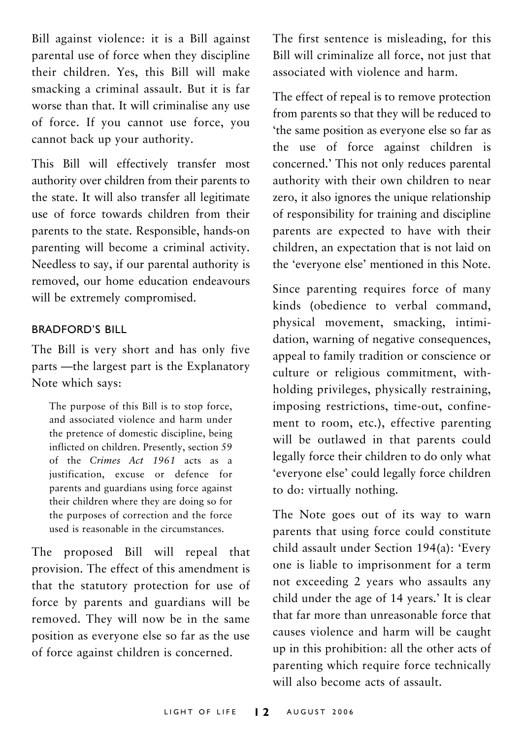Bill against violence: it is a Bill against parental use of force when they discipline their children. Yes, this Bill will make smacking a criminal assault. But it is far worse than that. It will criminalise any use of force. If you cannot use force, you cannot back up your authority.

This Bill will effectively transfer most authority over children from their parents to the state. It will also transfer all legitimate use of force towards children from their parents to the state. Responsible, hands-on parenting will become a criminal activity. Needless to say, if our parental authority is removed, our home education endeavours will be extremely compromised.

#### BRADFORDíS BILL

The Bill is very short and has only five parts - the largest part is the Explanatory Note which says:

The purpose of this Bill is to stop force, and associated violence and harm under the pretence of domestic discipline, being inflicted on children. Presently, section 59 of the *Crimes Act 1961* acts as a justification, excuse or defence for parents and guardians using force against their children where they are doing so for the purposes of correction and the force used is reasonable in the circumstances.

The proposed Bill will repeal that provision. The effect of this amendment is that the statutory protection for use of force by parents and guardians will be removed. They will now be in the same position as everyone else so far as the use of force against children is concerned.

The first sentence is misleading, for this Bill will criminalize all force, not just that associated with violence and harm.

The effect of repeal is to remove protection from parents so that they will be reduced to ëthe same position as everyone else so far as the use of force against children is concerned.' This not only reduces parental authority with their own children to near zero, it also ignores the unique relationship of responsibility for training and discipline parents are expected to have with their children, an expectation that is not laid on the 'everyone else' mentioned in this Note.

Since parenting requires force of many kinds (obedience to verbal command, physical movement, smacking, intimidation, warning of negative consequences, appeal to family tradition or conscience or culture or religious commitment, withholding privileges, physically restraining, imposing restrictions, time-out, confinement to room, etc.), effective parenting will be outlawed in that parents could legally force their children to do only what 'everyone else' could legally force children to do: virtually nothing.

The Note goes out of its way to warn parents that using force could constitute child assault under Section 194(a): 'Every one is liable to imprisonment for a term not exceeding 2 years who assaults any child under the age of 14 years.' It is clear that far more than unreasonable force that causes violence and harm will be caught up in this prohibition: all the other acts of parenting which require force technically will also become acts of assault.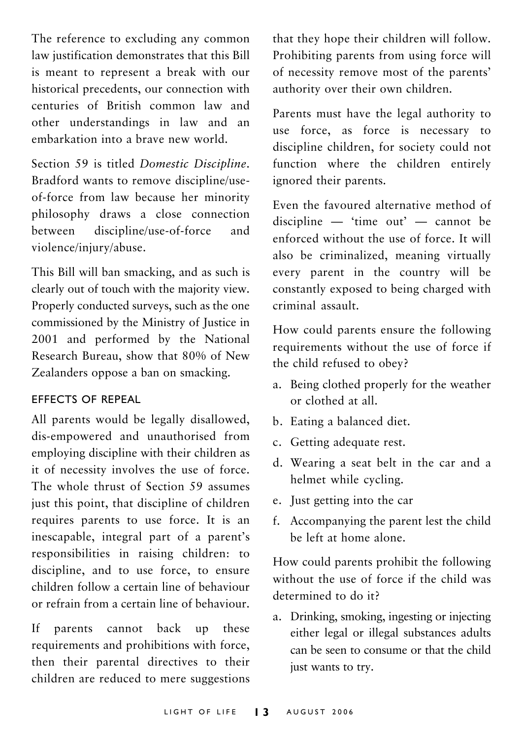The reference to excluding any common law justification demonstrates that this Bill is meant to represent a break with our historical precedents, our connection with centuries of British common law and other understandings in law and an embarkation into a brave new world.

Section 59 is titled *Domestic Discipline*. Bradford wants to remove discipline/useof-force from law because her minority philosophy draws a close connection between discipline/use-of-force and violence/injury/abuse.

This Bill will ban smacking, and as such is clearly out of touch with the majority view. Properly conducted surveys, such as the one commissioned by the Ministry of Justice in 2001 and performed by the National Research Bureau, show that 80% of New Zealanders oppose a ban on smacking.

#### EFFECTS OF REPEAL

All parents would be legally disallowed, dis-empowered and unauthorised from employing discipline with their children as it of necessity involves the use of force. The whole thrust of Section 59 assumes just this point, that discipline of children requires parents to use force. It is an inescapable, integral part of a parent's responsibilities in raising children: to discipline, and to use force, to ensure children follow a certain line of behaviour or refrain from a certain line of behaviour.

If parents cannot back up these requirements and prohibitions with force, then their parental directives to their children are reduced to mere suggestions

that they hope their children will follow. Prohibiting parents from using force will of necessity remove most of the parents' authority over their own children.

Parents must have the legal authority to use force, as force is necessary to discipline children, for society could not function where the children entirely ignored their parents.

Even the favoured alternative method of discipline  $-$  'time out'  $-$  cannot be enforced without the use of force. It will also be criminalized, meaning virtually every parent in the country will be constantly exposed to being charged with criminal assault.

How could parents ensure the following requirements without the use of force if the child refused to obey?

- a. Being clothed properly for the weather or clothed at all.
- b. Eating a balanced diet.
- c. Getting adequate rest.
- d. Wearing a seat belt in the car and a helmet while cycling.
- e. Just getting into the car
- f. Accompanying the parent lest the child be left at home alone.

How could parents prohibit the following without the use of force if the child was determined to do it?

a. Drinking, smoking, ingesting or injecting either legal or illegal substances adults can be seen to consume or that the child just wants to try.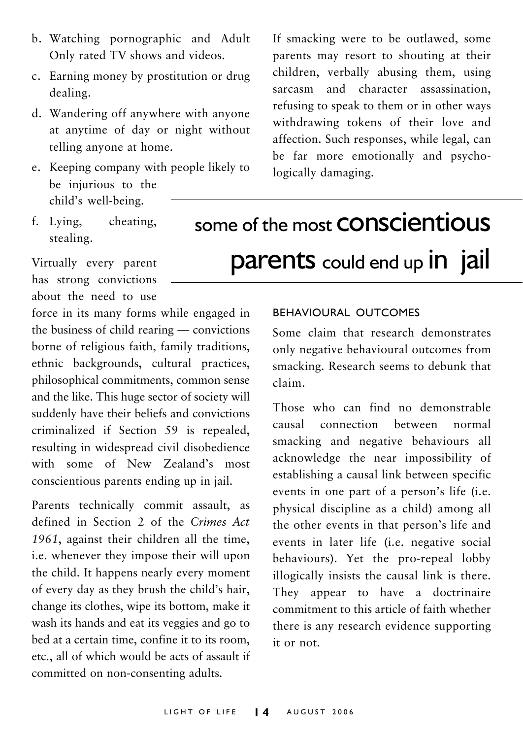- b. Watching pornographic and Adult Only rated TV shows and videos.
- c. Earning money by prostitution or drug dealing.
- d. Wandering off anywhere with anyone at anytime of day or night without telling anyone at home.
- e. Keeping company with people likely to be injurious to the child's well-being.
- f. Lying, cheating, stealing.

Virtually every parent

has strong convictions about the need to use

force in its many forms while engaged in the business of child rearing  $-$  convictions borne of religious faith, family traditions, ethnic backgrounds, cultural practices, philosophical commitments, common sense and the like. This huge sector of society will suddenly have their beliefs and convictions criminalized if Section 59 is repealed, resulting in widespread civil disobedience with some of New Zealand's most conscientious parents ending up in jail.

Parents technically commit assault, as defined in Section 2 of the *Crimes Act 1961*, against their children all the time, i.e. whenever they impose their will upon the child. It happens nearly every moment of every day as they brush the child's hair, change its clothes, wipe its bottom, make it wash its hands and eat its veggies and go to bed at a certain time, confine it to its room, etc., all of which would be acts of assault if committed on non-consenting adults.

If smacking were to be outlawed, some parents may resort to shouting at their children, verbally abusing them, using sarcasm and character assassination, refusing to speak to them or in other ways withdrawing tokens of their love and affection. Such responses, while legal, can be far more emotionally and psychologically damaging.

some of the most **CONSCIENTIOUS** parents could end up in jail

#### BEHAVIOURAL OUTCOMES

Some claim that research demonstrates only negative behavioural outcomes from smacking. Research seems to debunk that claim.

Those who can find no demonstrable causal connection between normal smacking and negative behaviours all acknowledge the near impossibility of establishing a causal link between specific events in one part of a person's life (i.e. physical discipline as a child) among all the other events in that person's life and events in later life (i.e. negative social behaviours). Yet the pro-repeal lobby illogically insists the causal link is there. They appear to have a doctrinaire commitment to this article of faith whether there is any research evidence supporting it or not.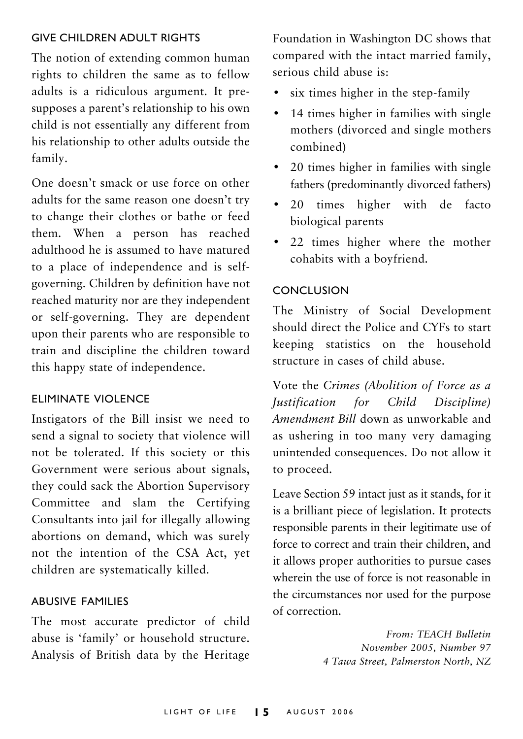#### GIVE CHILDREN ADULT RIGHTS

The notion of extending common human rights to children the same as to fellow adults is a ridiculous argument. It presupposes a parent's relationship to his own child is not essentially any different from his relationship to other adults outside the family.

One doesn't smack or use force on other adults for the same reason one doesn't try to change their clothes or bathe or feed them. When a person has reached adulthood he is assumed to have matured to a place of independence and is selfgoverning. Children by definition have not reached maturity nor are they independent or self-governing. They are dependent upon their parents who are responsible to train and discipline the children toward this happy state of independence.

#### ELIMINATE VIOLENCE

Instigators of the Bill insist we need to send a signal to society that violence will not be tolerated. If this society or this Government were serious about signals, they could sack the Abortion Supervisory Committee and slam the Certifying Consultants into jail for illegally allowing abortions on demand, which was surely not the intention of the CSA Act, yet children are systematically killed.

#### ABUSIVE FAMILIES

The most accurate predictor of child abuse is 'family' or household structure. Analysis of British data by the Heritage

Foundation in Washington DC shows that compared with the intact married family, serious child abuse is:

- six times higher in the step-family
- $\cdot$  14 times higher in families with single mothers (divorced and single mothers combined)
- 20 times higher in families with single fathers (predominantly divorced fathers)
- 20 times higher with de facto biological parents
- 22 times higher where the mother cohabits with a boyfriend.

#### CONCLUSION

The Ministry of Social Development should direct the Police and CYFs to start keeping statistics on the household structure in cases of child abuse.

Vote the *Crimes (Abolition of Force as a Justification for Child Discipline) Amendment Bill* down as unworkable and as ushering in too many very damaging unintended consequences. Do not allow it to proceed.

Leave Section 59 intact just as it stands, for it is a brilliant piece of legislation. It protects responsible parents in their legitimate use of force to correct and train their children, and it allows proper authorities to pursue cases wherein the use of force is not reasonable in the circumstances nor used for the purpose of correction.

> *From: TEACH Bulletin November 2005, Number 97 4 Tawa Street, Palmerston North, NZ*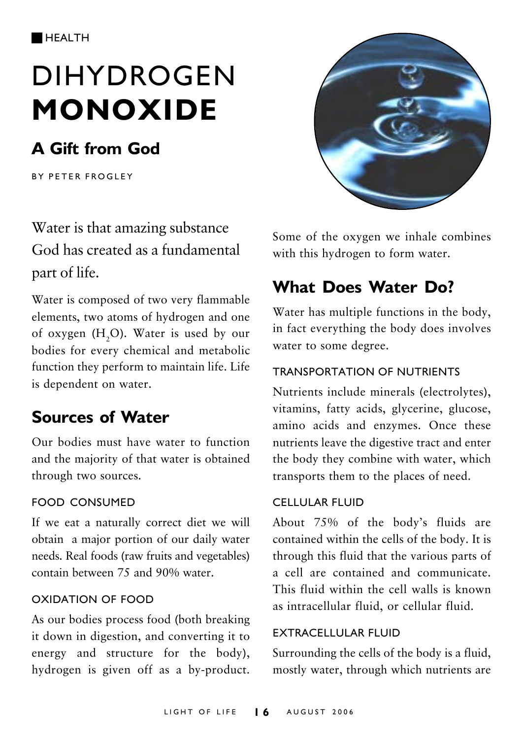# DIHYDROGEN **MONOXIDE**

## **A Gift from God**

BY PETER FROGLEY

Water is that amazing substance God has created as a fundamental part of life.

Water is composed of two very flammable elements, two atoms of hydrogen and one of oxygen ( $H_2$ O). Water is used by our bodies for every chemical and metabolic function they perform to maintain life. Life is dependent on water.

## **Sources of Water**

Our bodies must have water to function and the majority of that water is obtained through two sources.

#### FOOD CONSUMED

If we eat a naturally correct diet we will obtain a major portion of our daily water needs. Real foods (raw fruits and vegetables) contain between 75 and 90% water.

#### OXIDATION OF FOOD

As our bodies process food (both breaking it down in digestion, and converting it to energy and structure for the body), hydrogen is given off as a by-product.



Some of the oxygen we inhale combines with this hydrogen to form water.

## **What Does Water Do?**

Water has multiple functions in the body, in fact everything the body does involves water to some degree.

#### TRANSPORTATION OF NUTRIENTS

Nutrients include minerals (electrolytes), vitamins, fatty acids, glycerine, glucose, amino acids and enzymes. Once these nutrients leave the digestive tract and enter the body they combine with water, which transports them to the places of need.

#### CELLULAR FLUID

About 75% of the body's fluids are contained within the cells of the body. It is through this fluid that the various parts of a cell are contained and communicate. This fluid within the cell walls is known as intracellular fluid, or cellular fluid.

#### EXTRACELLULAR FLUID

Surrounding the cells of the body is a fluid, mostly water, through which nutrients are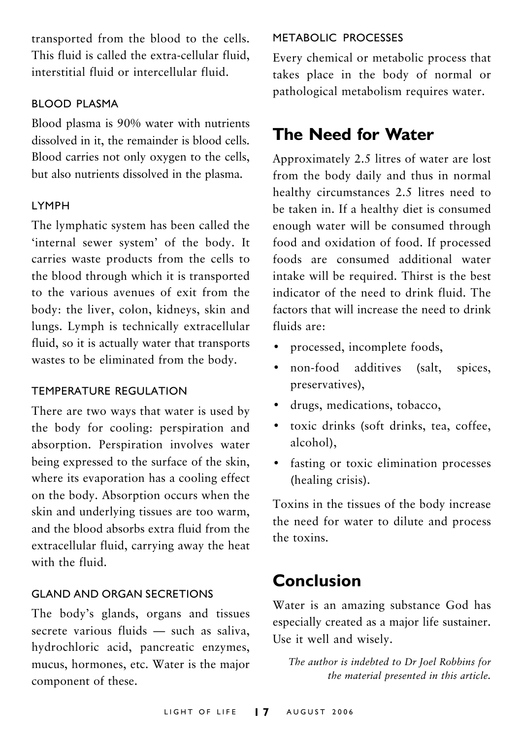transported from the blood to the cells. This fluid is called the extra-cellular fluid, interstitial fluid or intercellular fluid.

#### BLOOD PLASMA

Blood plasma is 90% water with nutrients dissolved in it, the remainder is blood cells. Blood carries not only oxygen to the cells, but also nutrients dissolved in the plasma.

#### LYMPH

The lymphatic system has been called the 'internal sewer system' of the body. It carries waste products from the cells to the blood through which it is transported to the various avenues of exit from the body: the liver, colon, kidneys, skin and lungs. Lymph is technically extracellular fluid, so it is actually water that transports wastes to be eliminated from the body.

#### TEMPERATURE REGULATION

There are two ways that water is used by the body for cooling: perspiration and absorption. Perspiration involves water being expressed to the surface of the skin, where its evaporation has a cooling effect on the body. Absorption occurs when the skin and underlying tissues are too warm, and the blood absorbs extra fluid from the extracellular fluid, carrying away the heat with the fluid.

#### GLAND AND ORGAN SECRETIONS

The body's glands, organs and tissues secrete various fluids  $-$  such as saliva, hydrochloric acid, pancreatic enzymes, mucus, hormones, etc. Water is the major component of these.

#### METABOLIC PROCESSES

Every chemical or metabolic process that takes place in the body of normal or pathological metabolism requires water.

## **The Need for Water**

Approximately 2.5 litres of water are lost from the body daily and thus in normal healthy circumstances 2.5 litres need to be taken in. If a healthy diet is consumed enough water will be consumed through food and oxidation of food. If processed foods are consumed additional water intake will be required. Thirst is the best indicator of the need to drink fluid. The factors that will increase the need to drink fluids are:

- processed, incomplete foods,
- non-food additives (salt, spices, preservatives),
- drugs, medications, tobacco,
- toxic drinks (soft drinks, tea, coffee, alcohol),
- fasting or toxic elimination processes (healing crisis).

Toxins in the tissues of the body increase the need for water to dilute and process the toxins.

## **Conclusion**

Water is an amazing substance God has especially created as a major life sustainer. Use it well and wisely.

*The author is indebted to Dr Joel Robbins for the material presented in this article.*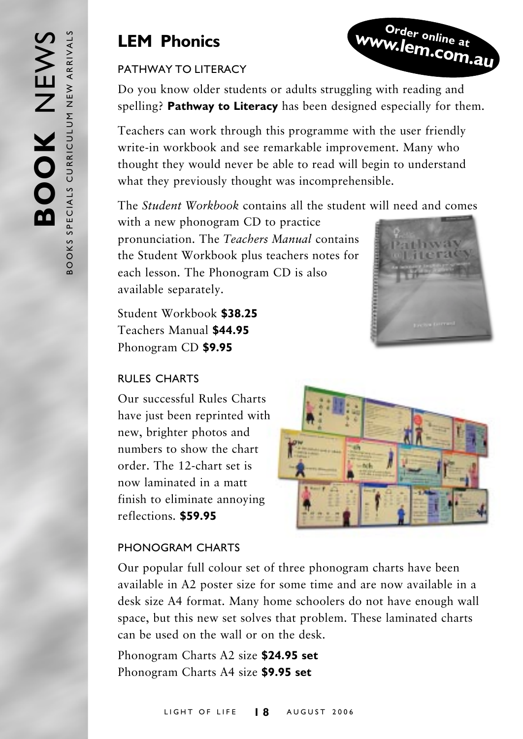## **LEM Phonics**

#### PATHWAY TO LITERACY

Do you know older students or adults struggling with reading and spelling? **Pathway to Literacy** has been designed especially for them.

Teachers can work through this programme with the user friendly write-in workbook and see remarkable improvement. Many who thought they would never be able to read will begin to understand what they previously thought was incomprehensible.

The *Student Workbook* contains all the student will need and comes

with a new phonogram CD to practice pronunciation. The *Teachers Manual* contains the Student Workbook plus teachers notes for each lesson. The Phonogram CD is also available separately.

Student Workbook **\$38.25** Teachers Manual **\$44.95** Phonogram CD **\$9.95**

#### RULES CHARTS

Our successful Rules Charts have just been reprinted with new, brighter photos and numbers to show the chart order. The 12-chart set is now laminated in a matt finish to eliminate annoying reflections. **\$59.95**

#### PHONOGRAM CHARTS

Our popular full colour set of three phonogram charts have been available in A2 poster size for some time and are now available in a desk size A4 format. Many home schoolers do not have enough wall space, but this new set solves that problem. These laminated charts can be used on the wall or on the desk.

Phonogram Charts A2 size **\$24.95 set** Phonogram Charts A4 size **\$9.95 set**



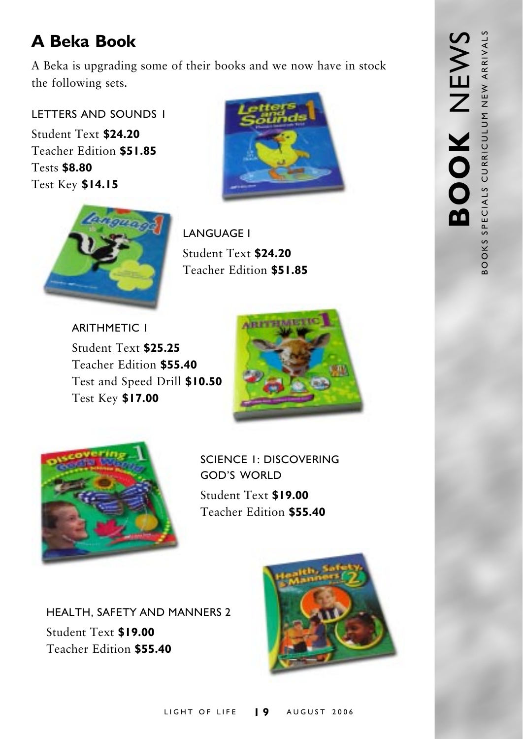## **A Beka Book**

A Beka is upgrading some of their books and we now have in stock the following sets.

LETTERS AND SOUNDS 1

Student Text **\$24.20** Teacher Edition **\$51.85** Tests **\$8.80** Test Key **\$14.15**



LANGUAGE 1 Student Text **\$24.20** Teacher Edition **\$51.85**

ARITHMETIC 1 Student Text **\$25.25** Teacher Edition **\$55.40** Test and Speed Drill **\$10.50** Test Key **\$17.00**





SCIENCE 1: DISCOVERING **GOD'S WORLD** Student Text **\$19.00** Teacher Edition **\$55.40**

HEALTH, SAFETY AND MANNERS 2 Student Text **\$19.00** Teacher Edition **\$55.40**

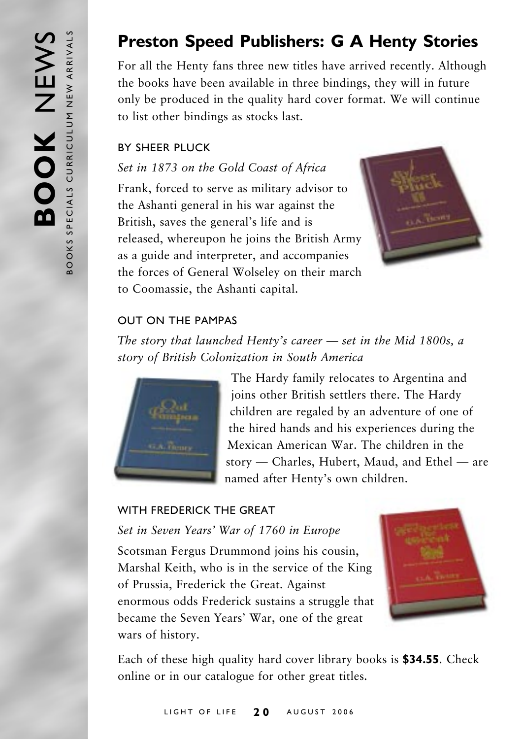## **Preston Speed Publishers: G A Henty Stories**

For all the Henty fans three new titles have arrived recently. Although the books have been available in three bindings, they will in future only be produced in the quality hard cover format. We will continue to list other bindings as stocks last.

#### BY SHEER PLUCK

*Set in 1873 on the Gold Coast of Africa*

Frank, forced to serve as military advisor to the Ashanti general in his war against the British, saves the general's life and is released, whereupon he joins the British Army as a guide and interpreter, and accompanies the forces of General Wolseley on their march to Coomassie, the Ashanti capital.



#### OUT ON THE PAMPAS

*The story that launched Henty's career – set in the Mid 1800s, a story of British Colonization in South America*



The Hardy family relocates to Argentina and joins other British settlers there. The Hardy children are regaled by an adventure of one of the hired hands and his experiences during the Mexican American War. The children in the story  $-$  Charles, Hubert, Maud, and Ethel  $-$  are named after Henty's own children.

#### WITH FREDERICK THE GREAT

*Set in Seven Yearsí War of 1760 in Europe*

Scotsman Fergus Drummond joins his cousin, Marshal Keith, who is in the service of the King of Prussia, Frederick the Great. Against enormous odds Frederick sustains a struggle that became the Seven Years' War, one of the great wars of history.



Each of these high quality hard cover library books is **\$34.55**. Check online or in our catalogue for other great titles.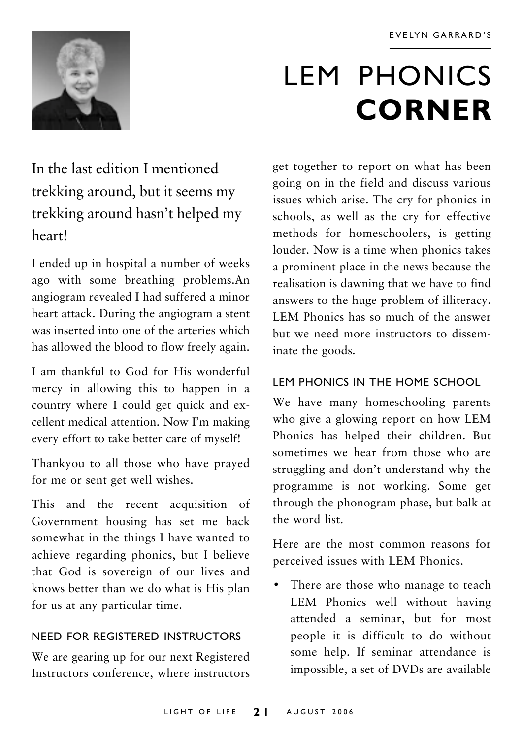

# LEM PHONICS **CORNER**

In the last edition I mentioned trekking around, but it seems my trekking around hasn't helped my heart!

I ended up in hospital a number of weeks ago with some breathing problems.An angiogram revealed I had suffered a minor heart attack. During the angiogram a stent was inserted into one of the arteries which has allowed the blood to flow freely again.

I am thankful to God for His wonderful mercy in allowing this to happen in a country where I could get quick and excellent medical attention. Now Iím making every effort to take better care of myself!

Thankyou to all those who have prayed for me or sent get well wishes.

This and the recent acquisition of Government housing has set me back somewhat in the things I have wanted to achieve regarding phonics, but I believe that God is sovereign of our lives and knows better than we do what is His plan for us at any particular time.

#### NEED FOR REGISTERED INSTRUCTORS

We are gearing up for our next Registered Instructors conference, where instructors

get together to report on what has been going on in the field and discuss various issues which arise. The cry for phonics in schools, as well as the cry for effective methods for homeschoolers, is getting louder. Now is a time when phonics takes a prominent place in the news because the realisation is dawning that we have to find answers to the huge problem of illiteracy. LEM Phonics has so much of the answer but we need more instructors to disseminate the goods.

#### LEM PHONICS IN THE HOME SCHOOL

We have many homeschooling parents who give a glowing report on how LEM Phonics has helped their children. But sometimes we hear from those who are struggling and don't understand why the programme is not working. Some get through the phonogram phase, but balk at the word list.

Here are the most common reasons for perceived issues with LEM Phonics.

• There are those who manage to teach LEM Phonics well without having attended a seminar, but for most people it is difficult to do without some help. If seminar attendance is impossible, a set of DVDs are available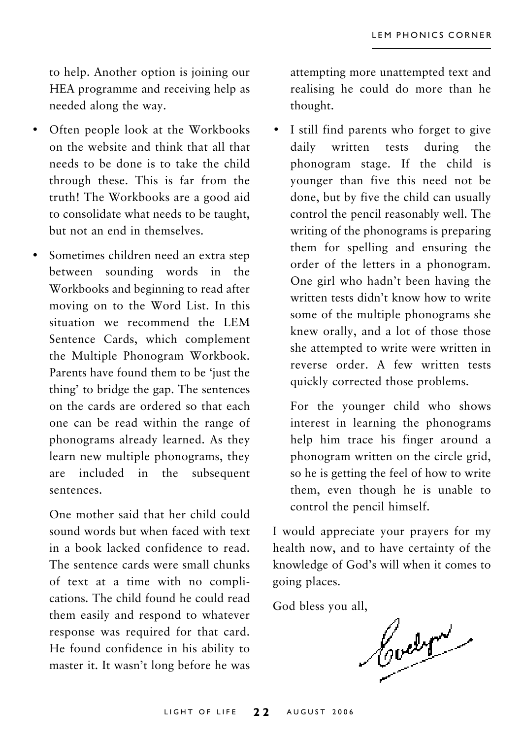to help. Another option is joining our HEA programme and receiving help as needed along the way.

- Often people look at the Workbooks on the website and think that all that needs to be done is to take the child through these. This is far from the truth! The Workbooks are a good aid to consolidate what needs to be taught, but not an end in themselves.
- Sometimes children need an extra step between sounding words in the Workbooks and beginning to read after moving on to the Word List. In this situation we recommend the LEM Sentence Cards, which complement the Multiple Phonogram Workbook. Parents have found them to be 'just the thing' to bridge the gap. The sentences on the cards are ordered so that each one can be read within the range of phonograms already learned. As they learn new multiple phonograms, they are included in the subsequent sentences.

One mother said that her child could sound words but when faced with text in a book lacked confidence to read. The sentence cards were small chunks of text at a time with no complications. The child found he could read them easily and respond to whatever response was required for that card. He found confidence in his ability to master it. It wasn't long before he was attempting more unattempted text and realising he could do more than he thought.

• I still find parents who forget to give daily written tests during the phonogram stage. If the child is younger than five this need not be done, but by five the child can usually control the pencil reasonably well. The writing of the phonograms is preparing them for spelling and ensuring the order of the letters in a phonogram. One girl who hadn't been having the written tests didn't know how to write some of the multiple phonograms she knew orally, and a lot of those those she attempted to write were written in reverse order. A few written tests quickly corrected those problems.

For the younger child who shows interest in learning the phonograms help him trace his finger around a phonogram written on the circle grid, so he is getting the feel of how to write them, even though he is unable to control the pencil himself.

I would appreciate your prayers for my health now, and to have certainty of the knowledge of God's will when it comes to going places.

God bless you all,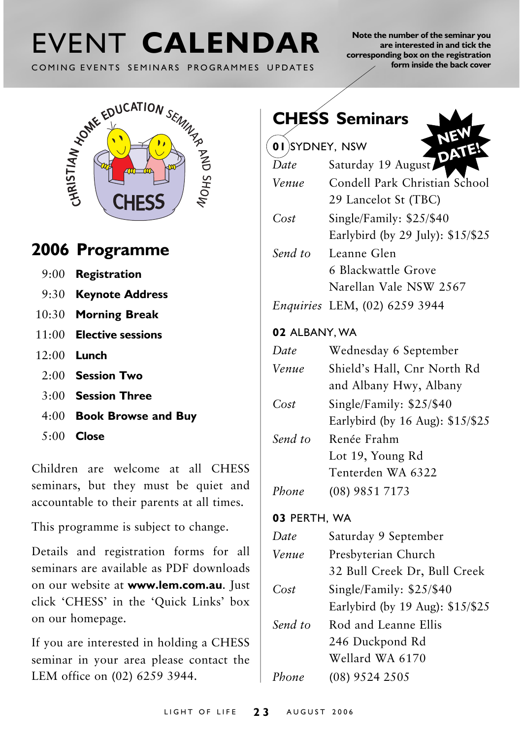# COMING EVENTS SEMINARS PROGRAMMES UPDATES

**Note the number of the seminar you are interested in and tick the corresponding box on the registration form inside the back cover**

EVENT CALENDAR<br>
COMING EVENTS SEMINARS PROGRAMMES UPDATES<br>
LOWERDUCATION SENINARS CHESS  $\nu_{\mathrm{OHS}}$  and  $\mathrm{e}$ 

## **2006 Programme**

- 9:00 **Registration**
- 9:30 **Keynote Address**
- 10:30 **Morning Break**
- 11:00 **Elective sessions**
- 12:00 **Lunch**
	- 2:00 **Session Two**
	- 3:00 **Session Three**
	- 4:00 **Book Browse and Buy**
	- 5:00 **Close**

Children are welcome at all CHESS seminars, but they must be quiet and accountable to their parents at all times.

This programme is subject to change.

Details and registration forms for all seminars are available as PDF downloads on our website at **www.lem.com.au**. Just click 'CHESS' in the 'Quick Links' box on our homepage.

If you are interested in holding a CHESS seminar in your area please contact the LEM office on (02) 6259 3944.

| <b>CHESS Seminars</b> |                                                               |  |  |  |
|-----------------------|---------------------------------------------------------------|--|--|--|
| 01 SYDNEY, NSW        |                                                               |  |  |  |
| Date                  | Saturday 19 August                                            |  |  |  |
| Venue                 | Condell Park Christian School<br>29 Lancelot St (TBC)         |  |  |  |
| Cost                  | Single/Family: \$25/\$40<br>Earlybird (by 29 July): \$15/\$25 |  |  |  |
| Send to               | Leanne Glen                                                   |  |  |  |
|                       | 6 Blackwattle Grove                                           |  |  |  |
|                       | Narellan Vale NSW 2567                                        |  |  |  |
|                       | Enquiries LEM, (02) 6259 3944                                 |  |  |  |
| 02 ALBANY, WA         |                                                               |  |  |  |
| Date                  | Wednesday 6 September                                         |  |  |  |
| Venue                 | Shield's Hall, Cnr North Rd                                   |  |  |  |
|                       | and Albany Hwy, Albany                                        |  |  |  |
| Cost                  | Single/Family: \$25/\$40                                      |  |  |  |
|                       | Earlybird (by 16 Aug): \$15/\$25                              |  |  |  |
| Send to               | Renée Frahm                                                   |  |  |  |
|                       | Lot 19, Young Rd                                              |  |  |  |
|                       | Tenterden WA 6322                                             |  |  |  |
| Phone                 | (08) 9851 7173                                                |  |  |  |
| 03 PERTH, WA          |                                                               |  |  |  |
| Date                  | Saturday 9 September                                          |  |  |  |
| $V_{01112}$           | Drechyterian Church                                           |  |  |  |

| Venue   | Presbyterian Church              |
|---------|----------------------------------|
|         | 32 Bull Creek Dr, Bull Creek     |
| Cost    | Single/Family: \$25/\$40         |
|         | Earlybird (by 19 Aug): \$15/\$25 |
| Send to | Rod and Leanne Ellis             |
|         | 246 Duckpond Rd                  |
|         | Wellard WA 6170                  |
| Phone   | $(08)$ 9524 2505                 |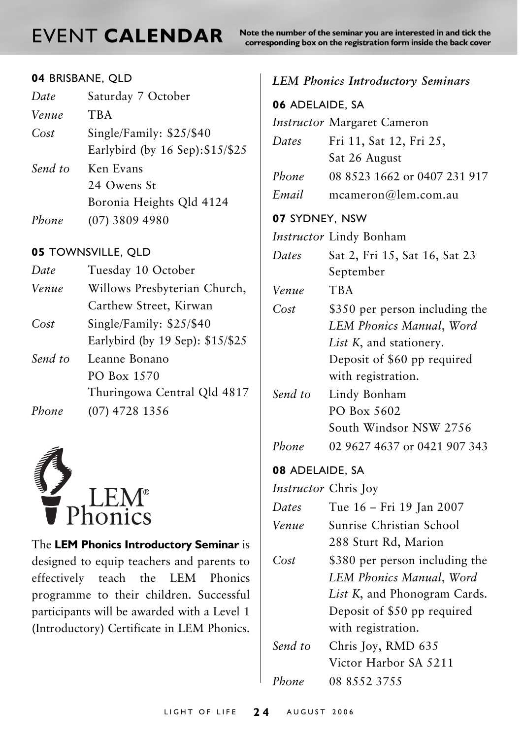**NORT CALENDAR** Note the number of the seminar you are interested in and tick the corresponding box on the registration form inside the back cover

#### **04** BRISBANE, QLD

| Date    | Saturday 7 October                                           |
|---------|--------------------------------------------------------------|
| Venue   | <b>TBA</b>                                                   |
| Cost    | Single/Family: $$25/$40$<br>Earlybird (by 16 Sep): \$15/\$25 |
| Send to | Ken Evans<br>24 Owens St                                     |
| Phone   | Boronia Heights Qld 4124<br>$(07)$ 3809 4980                 |

#### **05** TOWNSVILLE, QLD

| Date    | Tuesday 10 October               |
|---------|----------------------------------|
|         |                                  |
| Venue   | Willows Presbyterian Church,     |
|         | Carthew Street, Kirwan           |
| Cost    | Single/Family: \$25/\$40         |
|         | Earlybird (by 19 Sep): \$15/\$25 |
| Send to | Leanne Bonano                    |
|         | PO Box 1570                      |
|         | Thuringowa Central Qld 4817      |
|         |                                  |

*Phone* (07) 4728 1356



The **LEM Phonics Introductory Seminar** is designed to equip teachers and parents to effectively teach the LEM Phonics programme to their children. Successful participants will be awarded with a Level 1 (Introductory) Certificate in LEM Phonics.

#### *LEM Phonics Introductory Seminars*

| 06 ADELAIDE, SA      |                                |  |  |  |
|----------------------|--------------------------------|--|--|--|
|                      | Instructor Margaret Cameron    |  |  |  |
| Dates                | Fri 11, Sat 12, Fri 25,        |  |  |  |
|                      | Sat 26 August                  |  |  |  |
| Phone                | 08 8523 1662 or 0407 231 917   |  |  |  |
| Email                | mcameron@lem.com.au            |  |  |  |
| 07 SYDNEY, NSW       |                                |  |  |  |
|                      | Instructor Lindy Bonham        |  |  |  |
| Dates                | Sat 2, Fri 15, Sat 16, Sat 23  |  |  |  |
|                      | September                      |  |  |  |
| Venue                | TBA                            |  |  |  |
| Cost                 | \$350 per person including the |  |  |  |
|                      | LEM Phonics Manual, Word       |  |  |  |
|                      | List K, and stationery.        |  |  |  |
|                      | Deposit of \$60 pp required    |  |  |  |
|                      | with registration.             |  |  |  |
| Send to              | Lindy Bonham                   |  |  |  |
|                      | PO Box 5602                    |  |  |  |
|                      | South Windsor NSW 2756         |  |  |  |
| Phone                | 02 9627 4637 or 0421 907 343   |  |  |  |
| 08 ADELAIDE, SA      |                                |  |  |  |
| Instructor Chris Joy |                                |  |  |  |
| Dates                | Tue 16 - Fri 19 Jan 2007       |  |  |  |
| Venue                | Sunrise Christian School       |  |  |  |
|                      | 288 Sturt Rd, Marion           |  |  |  |
| Cost                 | \$380 per person including the |  |  |  |
|                      | LEM Phonics Manual, Word       |  |  |  |
|                      | List K, and Phonogram Cards.   |  |  |  |
|                      | Deposit of \$50 pp required    |  |  |  |
|                      | with registration.             |  |  |  |
| Send to              | Chris Joy, RMD 635             |  |  |  |
|                      | Victor Harbor SA 5211          |  |  |  |
| Phone                | 08 8552 3755                   |  |  |  |